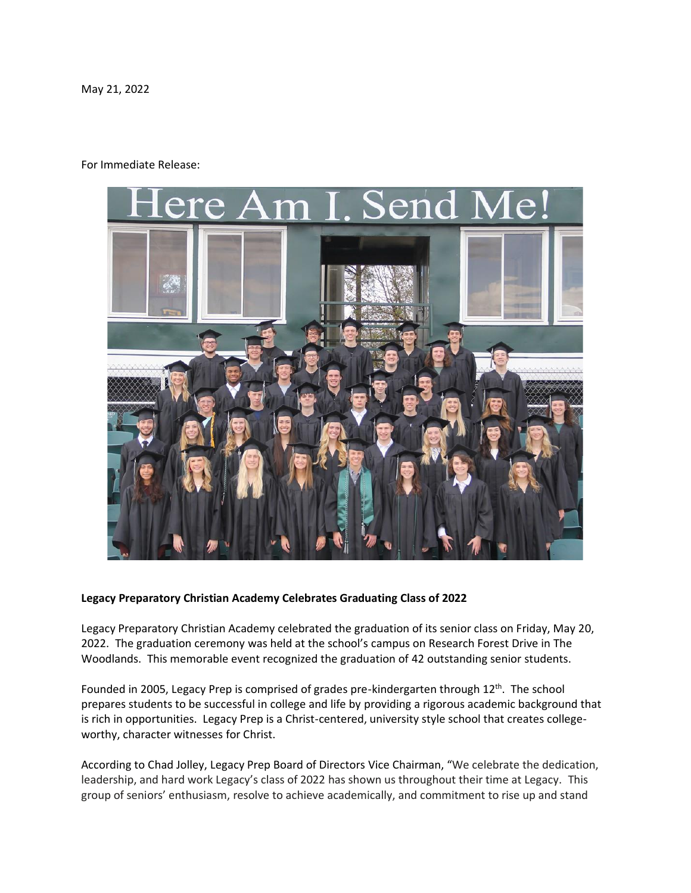May 21, 2022

## For Immediate Release:



## **Legacy Preparatory Christian Academy Celebrates Graduating Class of 2022**

Legacy Preparatory Christian Academy celebrated the graduation of its senior class on Friday, May 20, 2022. The graduation ceremony was held at the school's campus on Research Forest Drive in The Woodlands. This memorable event recognized the graduation of 42 outstanding senior students.

Founded in 2005, Legacy Prep is comprised of grades pre-kindergarten through 12<sup>th</sup>. The school prepares students to be successful in college and life by providing a rigorous academic background that is rich in opportunities. Legacy Prep is a Christ-centered, university style school that creates collegeworthy, character witnesses for Christ.

According to Chad Jolley, Legacy Prep Board of Directors Vice Chairman, "We celebrate the dedication, leadership, and hard work Legacy's class of 2022 has shown us throughout their time at Legacy. This group of seniors' enthusiasm, resolve to achieve academically, and commitment to rise up and stand